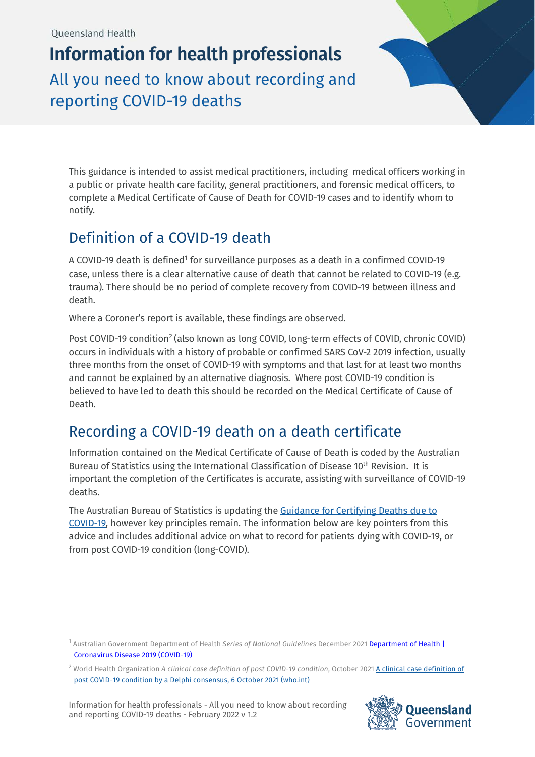**Information for health professionals** All you need to know about recording and reporting COVID-19 deaths



This guidance is intended to assist medical practitioners, including medical officers working in a public or private health care facility, general practitioners, and forensic medical officers, to complete a Medical Certificate of Cause of Death for COVID-19 cases and to identify whom to notify.

# Definition of a COVID-19 death

A COVID-[1](#page-0-0)9 death is defined<sup>1</sup> for surveillance purposes as a death in a confirmed COVID-19 case, unless there is a clear alternative cause of death that cannot be related to COVID-19 (e.g. trauma). There should be no period of complete recovery from COVID-19 between illness and death.

Where a Coroner's report is available, these findings are observed.

Post COVID-19 condition<sup>[2](#page-0-1)</sup> (also known as long COVID, long-term effects of COVID, chronic COVID) occurs in individuals with a history of probable or confirmed SARS CoV-2 2019 infection, usually three months from the onset of COVID-19 with symptoms and that last for at least two months and cannot be explained by an alternative diagnosis. Where post COVID-19 condition is believed to have led to death this should be recorded on the Medical Certificate of Cause of Death.

## Recording a COVID-19 death on a death certificate

Information contained on the Medical Certificate of Cause of Death is coded by the Australian Bureau of Statistics using the International Classification of Disease 10<sup>th</sup> Revision. It is important the completion of the Certificates is accurate, assisting with surveillance of COVID-19 deaths.

The Australian Bureau of Statistics is updating the [Guidance for Certifying Deaths due to](https://www.abs.gov.au/ausstats/abs@.nsf/Latestproducts/1205.0.55.001Main%20Features12008?opendocument&tabname=Summary&prodno=1205.0.55.001&issue=2008&num=&view=)  [COVID-19,](https://www.abs.gov.au/ausstats/abs@.nsf/Latestproducts/1205.0.55.001Main%20Features12008?opendocument&tabname=Summary&prodno=1205.0.55.001&issue=2008&num=&view=) however key principles remain. The information below are key pointers from this advice and includes additional advice on what to record for patients dying with COVID-19, or from post COVID-19 condition (long-COVID).

Information for health professionals - All you need to know about recording and reporting COVID-19 deaths - February 2022 v 1.2



<span id="page-0-0"></span><sup>1</sup> Australian Government Department of Health *Series of National Guidelines* December 2021 [Department of Health |](https://www1.health.gov.au/internet/main/publishing.nsf/Content/cdna-song-novel-coronavirus.htm)  [Coronavirus Disease 2019 \(COVID-19\)](https://www1.health.gov.au/internet/main/publishing.nsf/Content/cdna-song-novel-coronavirus.htm)

<span id="page-0-1"></span><sup>2</sup> World Health Organization *A clinical case definition of post COVID-19 condition*, October 2021 [A clinical case definition of](https://www.who.int/publications/i/item/WHO-2019-nCoV-Post_COVID-19_condition-Clinical_case_definition-2021.1)  [post COVID-19 condition by a Delphi consensus, 6 October 2021 \(who.int\)](https://www.who.int/publications/i/item/WHO-2019-nCoV-Post_COVID-19_condition-Clinical_case_definition-2021.1)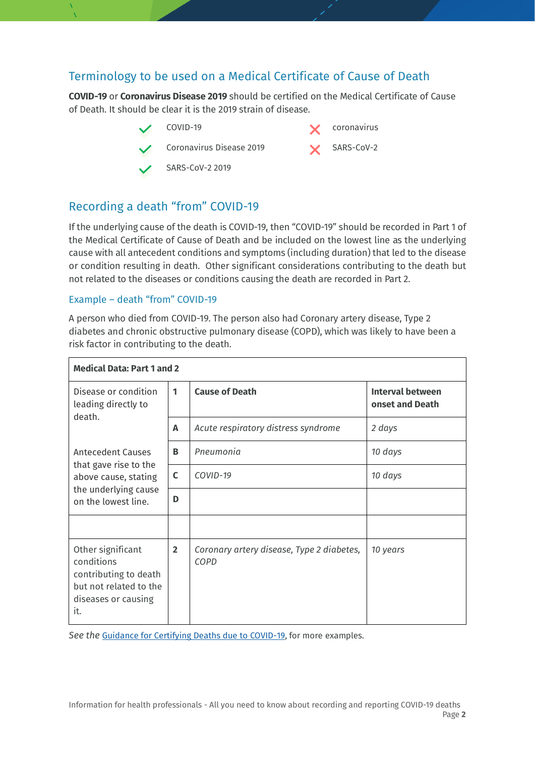### Terminology to be used on a Medical Certificate of Cause of Death

**COVID-19** or **Coronavirus Disease 2019** should be certified on the Medical Certificate of Cause of Death. It should be clear it is the 2019 strain of disease.



## Recording a death "from" COVID-19

If the underlying cause of the death is COVID-19, then "COVID-19" should be recorded in Part 1 of the Medical Certificate of Cause of Death and be included on the lowest line as the underlying cause with all antecedent conditions and symptoms (including duration) that led to the disease or condition resulting in death. Other significant considerations contributing to the death but not related to the diseases or conditions causing the death are recorded in Part 2.

#### Example – death "from" COVID-19

A person who died from COVID-19. The person also had Coronary artery disease, Type 2 diabetes and chronic obstructive pulmonary disease (COPD), which was likely to have been a risk factor in contributing to the death.

| <b>Medical Data: Part 1 and 2</b>                                                                                 |                |                                                   |                                            |
|-------------------------------------------------------------------------------------------------------------------|----------------|---------------------------------------------------|--------------------------------------------|
| Disease or condition<br>leading directly to<br>death.                                                             | 1              | <b>Cause of Death</b>                             | <b>Interval between</b><br>onset and Death |
|                                                                                                                   | A              | Acute respiratory distress syndrome               | 2 days                                     |
| Antecedent Causes<br>that gave rise to the<br>above cause, stating<br>the underlying cause<br>on the lowest line. | B              | Pneumonia                                         | 10 days                                    |
|                                                                                                                   | C              | COVID-19                                          | 10 days                                    |
|                                                                                                                   | D              |                                                   |                                            |
|                                                                                                                   |                |                                                   |                                            |
| Other significant<br>conditions<br>contributing to death<br>but not related to the<br>diseases or causing<br>it.  | $\overline{2}$ | Coronary artery disease, Type 2 diabetes,<br>COPD | 10 years                                   |

See the **Guidance for Certifying Deaths due to COVID-19**, for more examples.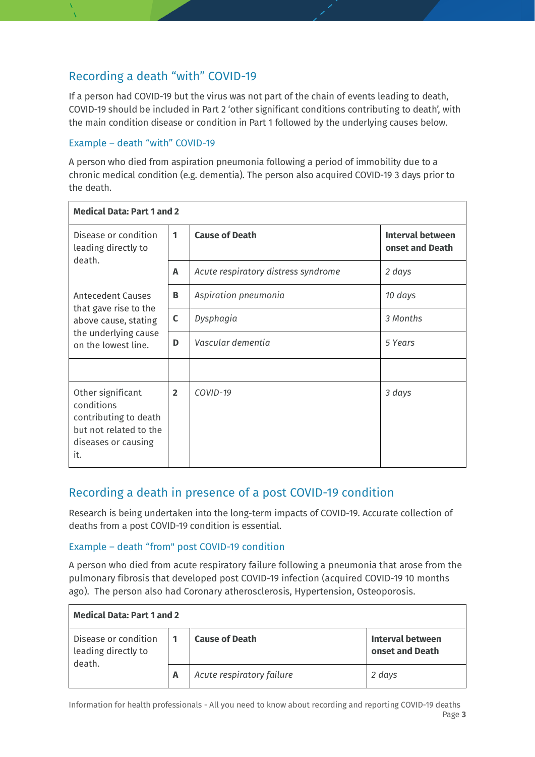### Recording a death "with" COVID-19

If a person had COVID-19 but the virus was not part of the chain of events leading to death, COVID-19 should be included in Part 2 'other significant conditions contributing to death', with the main condition disease or condition in Part 1 followed by the underlying causes below.

#### Example – death "with" COVID-19

A person who died from aspiration pneumonia following a period of immobility due to a chronic medical condition (e.g. dementia). The person also acquired COVID-19 3 days prior to the death.

| <b>Medical Data: Part 1 and 2</b>                                                                                        |                |                                     |                                            |
|--------------------------------------------------------------------------------------------------------------------------|----------------|-------------------------------------|--------------------------------------------|
| Disease or condition<br>leading directly to<br>death.                                                                    | 1              | <b>Cause of Death</b>               | <b>Interval between</b><br>onset and Death |
|                                                                                                                          | A              | Acute respiratory distress syndrome | 2 days                                     |
| <b>Antecedent Causes</b><br>that gave rise to the<br>above cause, stating<br>the underlying cause<br>on the lowest line. | В              | Aspiration pneumonia                | 10 days                                    |
|                                                                                                                          | C              | Dysphagia                           | 3 Months                                   |
|                                                                                                                          | D              | Vascular dementia                   | 5 Years                                    |
|                                                                                                                          |                |                                     |                                            |
| Other significant<br>conditions<br>contributing to death<br>but not related to the<br>diseases or causing<br>it.         | $\overline{2}$ | COVID-19                            | 3 days                                     |

### Recording a death in presence of a post COVID-19 condition

Research is being undertaken into the long-term impacts of COVID-19. Accurate collection of deaths from a post COVID-19 condition is essential.

#### Example – death "from" post COVID-19 condition

A person who died from acute respiratory failure following a pneumonia that arose from the pulmonary fibrosis that developed post COVID-19 infection (acquired COVID-19 10 months ago). The person also had Coronary atherosclerosis, Hypertension, Osteoporosis.

| <b>Medical Data: Part 1 and 2</b>                     |   |                           |                                     |
|-------------------------------------------------------|---|---------------------------|-------------------------------------|
| Disease or condition<br>leading directly to<br>death. |   | <b>Cause of Death</b>     | Interval between<br>onset and Death |
|                                                       | A | Acute respiratory failure | 2 days                              |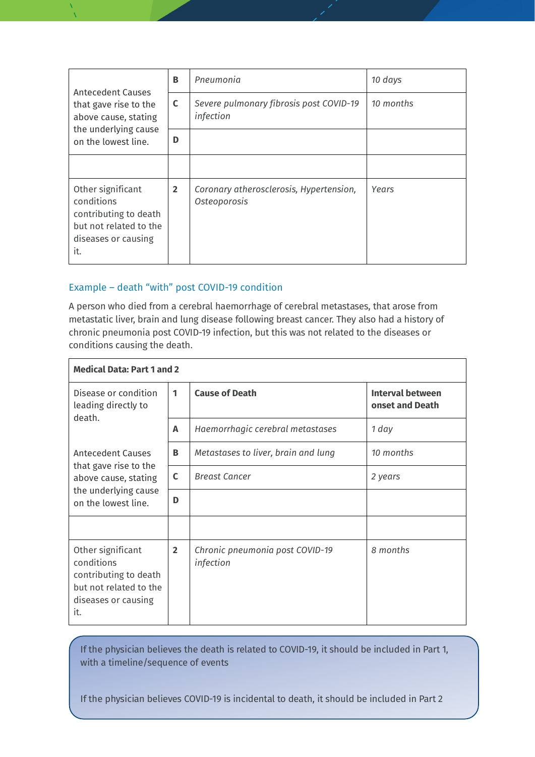| Antecedent Causes<br>that gave rise to the<br>above cause, stating<br>the underlying cause<br>on the lowest line. | B              | Pneumonia                                               | 10 days   |
|-------------------------------------------------------------------------------------------------------------------|----------------|---------------------------------------------------------|-----------|
|                                                                                                                   | C              | Severe pulmonary fibrosis post COVID-19<br>infection    | 10 months |
|                                                                                                                   | D              |                                                         |           |
|                                                                                                                   |                |                                                         |           |
| Other significant<br>conditions<br>contributing to death<br>but not related to the<br>diseases or causing<br>it.  | $\overline{2}$ | Coronary atherosclerosis, Hypertension,<br>Osteoporosis | Years     |

#### Example – death "with" post COVID-19 condition

A person who died from a cerebral haemorrhage of cerebral metastases, that arose from metastatic liver, brain and lung disease following breast cancer. They also had a history of chronic pneumonia post COVID-19 infection, but this was not related to the diseases or conditions causing the death.

| <b>Medical Data: Part 1 and 2</b>                                                                                        |                |                                              |                                            |
|--------------------------------------------------------------------------------------------------------------------------|----------------|----------------------------------------------|--------------------------------------------|
| Disease or condition<br>leading directly to<br>death.                                                                    | 1              | <b>Cause of Death</b>                        | <b>Interval between</b><br>onset and Death |
|                                                                                                                          | A              | Haemorrhagic cerebral metastases             | 1 day                                      |
| <b>Antecedent Causes</b><br>that gave rise to the<br>above cause, stating<br>the underlying cause<br>on the lowest line. | B              | Metastases to liver, brain and lung          | 10 months                                  |
|                                                                                                                          | C              | <b>Breast Cancer</b>                         | 2 years                                    |
|                                                                                                                          | D              |                                              |                                            |
|                                                                                                                          |                |                                              |                                            |
| Other significant<br>conditions<br>contributing to death<br>but not related to the<br>diseases or causing<br>it.         | $\overline{2}$ | Chronic pneumonia post COVID-19<br>infection | 8 months                                   |

If the physician believes the death is related to COVID-19, it should be included in Part 1, with a timeline/sequence of events

 $\parallel$  If the physician believes COVID-19 is incidental to death, it should be included in Part 2  $\parallel$ 

Page **4**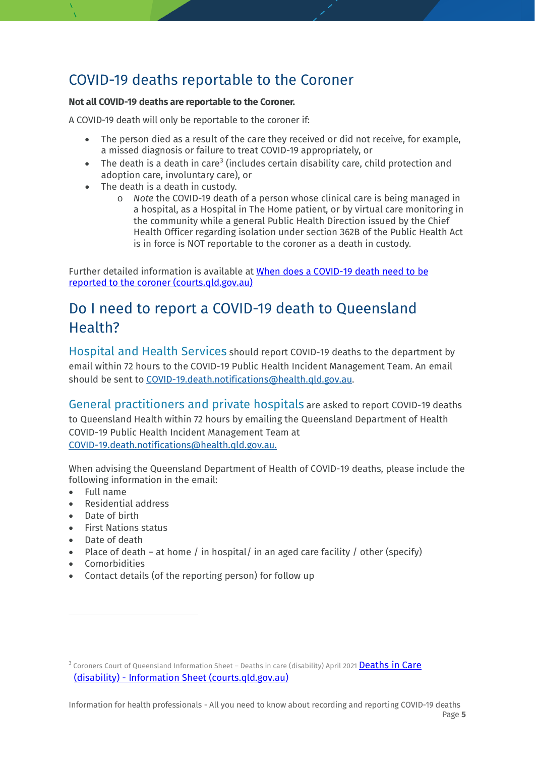## COVID-19 deaths reportable to the Coroner

#### **Not all COVID-19 deaths are reportable to the Coroner.**

A COVID-19 death will only be reportable to the coroner if:

- The person died as a result of the care they received or did not receive, for example, a missed diagnosis or failure to treat COVID-19 appropriately, or
- The death is a death in care<sup>[3](#page-4-0)</sup> (includes certain disability care, child protection and adoption care, involuntary care), or
- The death is a death in custody.
	- o *Note* the COVID-19 death of a person whose clinical care is being managed in a hospital, as a Hospital in The Home patient, or by virtual care monitoring in the community while a general Public Health Direction issued by the Chief Health Officer regarding isolation under section 362B of the Public Health Act is in force is NOT reportable to the coroner as a death in custody.

Further detailed information is available at [When does a COVID-19 death need to be](https://www.courts.qld.gov.au/__data/assets/pdf_file/0003/643197/ccq-fs-when-is-a-covid-19-death-reportable-to-the-coroner.pdf/_recache)  [reported to the coroner \(courts.qld.gov.au\)](https://www.courts.qld.gov.au/__data/assets/pdf_file/0003/643197/ccq-fs-when-is-a-covid-19-death-reportable-to-the-coroner.pdf/_recache)

## Do I need to report a COVID-19 death to Queensland Health?

Hospital and Health Services should report COVID-19 deaths to the department by email within 72 hours to the COVID-19 Public Health Incident Management Team. An email should be sent to [COVID-19.death.notifications@health.qld.gov.au.](mailto:COVID-19.death.notifications@health.qld.gov.au)

General practitioners and private hospitals are asked to report COVID-19 deaths to Queensland Health within 72 hours by emailing the Queensland Department of Health COVID-19 Public Health Incident Management Team at [COVID-19.death.notifications@health.qld.gov.au.](mailto:COVID-19.death.notifications@health.qld.gov.au)

When advising the Queensland Department of Health of COVID-19 deaths, please include the following information in the email:

- Full name
- Residential address
- Date of birth
- First Nations status
- Date of death
- Place of death at home / in hospital/ in an aged care facility / other (specify)
- Comorbidities
- Contact details (of the reporting person) for follow up

<span id="page-4-0"></span><sup>&</sup>lt;sup>3</sup> Coroners Court of Queensland Information Sheet – Deaths in care (disability) April 2021 **Deaths in Care** (disability) - [Information Sheet \(courts.qld.gov.au\)](https://www.courts.qld.gov.au/__data/assets/pdf_file/0011/678485/Deaths-in-care-disability-Information-sheet-v3-April-2021.pdf)